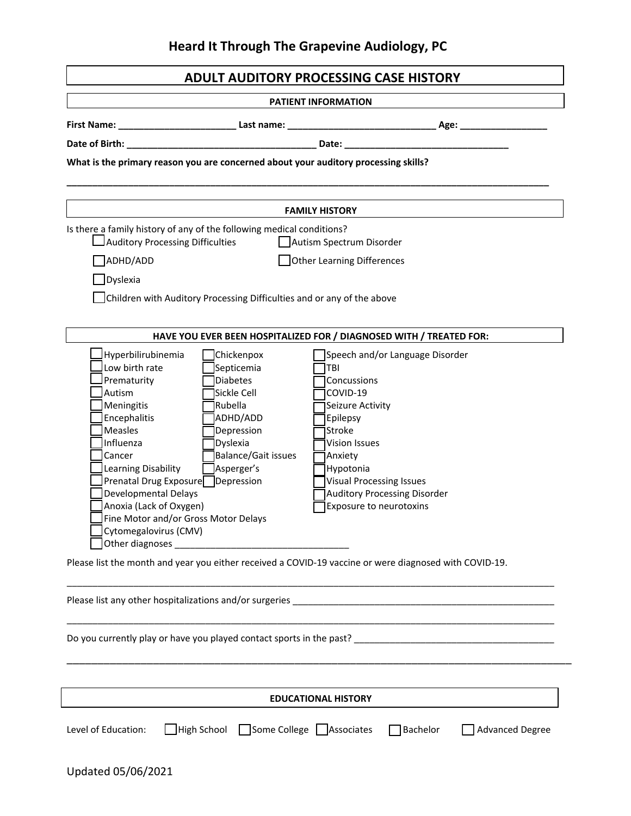## **Heard It Through The Grapevine Audiology, PC**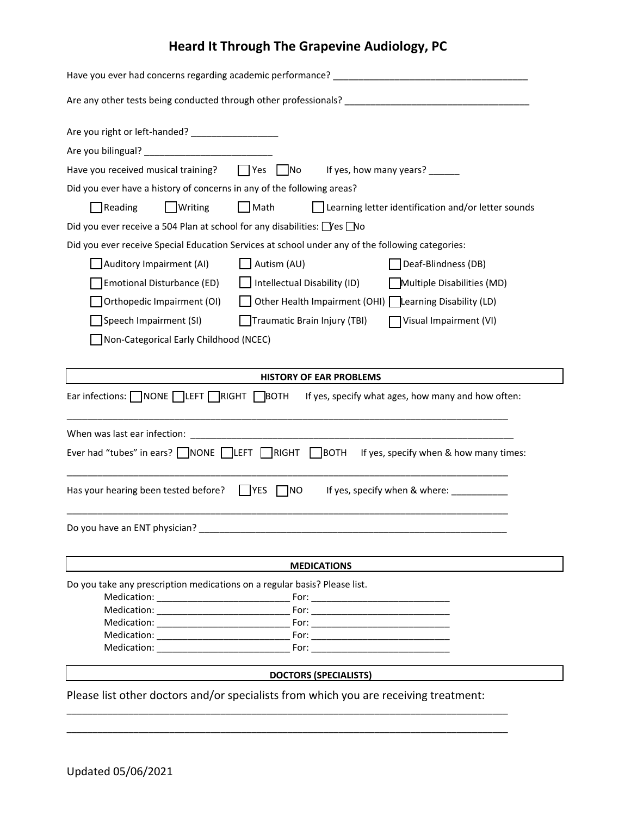## **Heard It Through The Grapevine Audiology, PC**

| Are you right or left-handed? ____________________                                                                     |                                                                                                                                                                                                                                |
|------------------------------------------------------------------------------------------------------------------------|--------------------------------------------------------------------------------------------------------------------------------------------------------------------------------------------------------------------------------|
|                                                                                                                        |                                                                                                                                                                                                                                |
| Have you received musical training?                                                                                    | $\Box$ Yes $\Box$ No<br>If yes, how many years? ______                                                                                                                                                                         |
| Did you ever have a history of concerns in any of the following areas?                                                 |                                                                                                                                                                                                                                |
| Writing<br>Reading                                                                                                     | $\Box$ Math<br>Learning letter identification and/or letter sounds                                                                                                                                                             |
| Did you ever receive a 504 Plan at school for any disabilities: Ves No                                                 |                                                                                                                                                                                                                                |
| Did you ever receive Special Education Services at school under any of the following categories:                       |                                                                                                                                                                                                                                |
| Auditory Impairment (AI)                                                                                               | Autism (AU)<br>Deaf-Blindness (DB)                                                                                                                                                                                             |
| Emotional Disturbance (ED)                                                                                             | Intellectual Disability (ID)<br>Multiple Disabilities (MD)                                                                                                                                                                     |
| Orthopedic Impairment (OI)                                                                                             | Other Health Impairment (OHI)   Learning Disability (LD)                                                                                                                                                                       |
| Speech Impairment (SI)                                                                                                 | Traumatic Brain Injury (TBI)<br>Visual Impairment (VI)                                                                                                                                                                         |
| Non-Categorical Early Childhood (NCEC)                                                                                 |                                                                                                                                                                                                                                |
|                                                                                                                        |                                                                                                                                                                                                                                |
|                                                                                                                        | <b>HISTORY OF EAR PROBLEMS</b>                                                                                                                                                                                                 |
| Ear infections: $\Box$ NONE $\Box$ LEFT $\Box$ RIGHT $\Box$ BOTH<br>If yes, specify what ages, how many and how often: |                                                                                                                                                                                                                                |
|                                                                                                                        |                                                                                                                                                                                                                                |
| Ever had "tubes" in ears? NONE LEFT RIGHT BOTH If yes, specify when & how many times:                                  |                                                                                                                                                                                                                                |
| Has your hearing been tested before? $\Box$ YES $\Box$ NO<br>If yes, specify when & where:                             |                                                                                                                                                                                                                                |
| Do you have an ENT physician?                                                                                          |                                                                                                                                                                                                                                |
|                                                                                                                        | <b>MEDICATIONS</b>                                                                                                                                                                                                             |
| Do you take any prescription medications on a regular basis? Please list.                                              |                                                                                                                                                                                                                                |
|                                                                                                                        |                                                                                                                                                                                                                                |
|                                                                                                                        |                                                                                                                                                                                                                                |
|                                                                                                                        |                                                                                                                                                                                                                                |
| Medication: New York 1997                                                                                              | For: the contract of the contract of the contract of the contract of the contract of the contract of the contract of the contract of the contract of the contract of the contract of the contract of the contract of the contr |
|                                                                                                                        | <b>DOCTORS (SPECIALISTS)</b>                                                                                                                                                                                                   |
| Please list other doctors and/or specialists from which you are receiving treatment:                                   |                                                                                                                                                                                                                                |
|                                                                                                                        |                                                                                                                                                                                                                                |
|                                                                                                                        |                                                                                                                                                                                                                                |